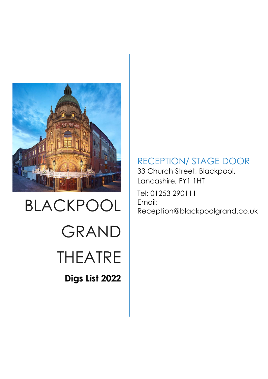

# BLACKPOOL GRAND THEATRE **Digs List 2022**

RECEPTION/ STAGE DOOR

33 Church Street, Blackpool, Lancashire, FY1 1HT Tel: 01253 290111 Email: Reception@blackpoolgrand.co.uk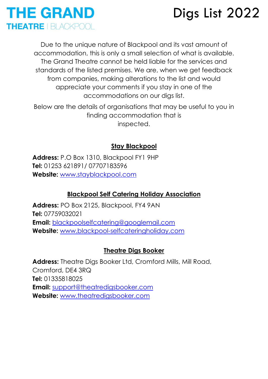

Due to the unique nature of Blackpool and its vast amount of accommodation, this is only a small selection of what is available. The Grand Theatre cannot be held liable for the services and standards of the listed premises. We are, when we get feedback from companies, making alterations to the list and would appreciate your comments if you stay in one of the accommodations on our digs list.

Below are the details of organisations that may be useful to you in finding accommodation that is inspected.

### **Stay Blackpool**

**Address:** P.O Box 1310, Blackpool FY1 9HP **Tel:** 01253 621891/ 07707183596 **Website:** [www.stayblackpool.com](http://www.stayblackpool.com/)

#### **Blackpool Self Catering Holiday Association**

**Address:** PO Box 2125, Blackpool, FY4 9AN **Tel:** 07759032021 **Email:** [blackpoolselfcatering@googlemail.com](mailto:blackpoolselfcatering@googlemail.com) **Website:** [www.blackpool-selfcateringholiday.com](http://www.blackpool-selfcateringholiday.com/)

#### **Theatre Digs Booker**

Address: Theatre Digs Booker Ltd, Cromford Mills, Mill Road, Cromford, DE4 3RQ **Tel:** 01335818025 **Email:** [support@theatredigsbooker.com](mailto:support@theatredigsbooker.com) **Website:** [www.theatredigsbooker.com](http://www.theatredigsbooker.com/)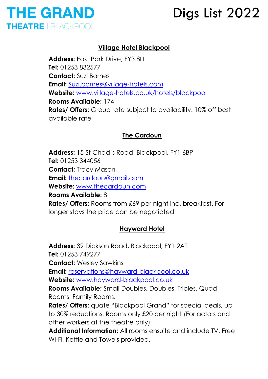

### **Village Hotel Blackpool**

**Address:** East Park Drive, FY3 8LL **Tel:** 01253 832577 **Contact:** Suzi Barnes **Email:** [Suzi.barnes@village-hotels.com](mailto:Suzi.barnes@village-hotels.com) **Website:** [www.village-hotels.co.uk/hotels/blackpool](http://www.village-hotels.co.uk/hotels/blackpool) **Rooms Available:** 174 **Rates/ Offers:** Group rate subject to availability. 10% off best available rate

### **The Cardoun**

**Address:** 15 St Chad's Road, Blackpool, FY1 6BP **Tel:** 01253 344056 **Contact:** Tracy Mason **Email:** [thecardoun@gmail.com](mailto:thecardoun@gmail.com) **Website:** [www.thecardoun.com](http://www.thecardoun.com/) **Rooms Available:** 8 **Rates/ Offers:** Rooms from £69 per night inc. breakfast. For longer stays the price can be negotiated

#### **Hayward Hotel**

**Address:** 39 Dickson Road, Blackpool, FY1 2AT **Tel:** 01253 749277 **Contact:** Wesley Sawkins **Email:** [reservations@hayward-blackpool.co.uk](mailto:reservations@hayward-blackpool.co.uk) **Website:** [www.hayward-blackpool.co.uk](http://www.hayward-blackpool.co.uk/) **Rooms Available:** Small Doubles, Doubles, Triples, Quad Rooms, Family Rooms. **Rates/ Offers:** quate "Blackpool Grand" for special deals, up to 30% reductions. Rooms only £20 per night (For actors and other workers at the theatre only) **Additional Information:** All rooms ensuite and include TV, Free Wi-Fi, Kettle and Towels provided.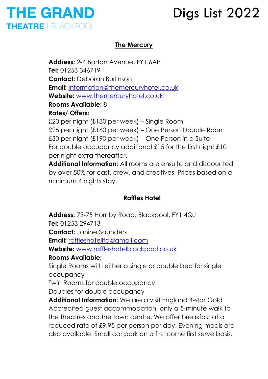

### **The Mercury**

**Address:** 2-4 Barton Avenue, FY1 6AP **Tel:** 01253 346719 **Contact:** Deborah Burlinson **Email:** [Information@themercuryhotel.co.uk](mailto:info@themercuryhotel.co.uk) **Website:** [www.themercuryhotel.co.uk](http://www.themercuryhotel.co.uk/) **Rooms Available:** 8 **Rates/ Offers:** 

£20 per night (£130 per week) – Single Room £25 per night (£160 per week) – One Person Double Room £30 per night (£190 per week) – One Person in a Suite For double occupancy additional £15 for the first night £10 per night extra thereafter.

**Additional Information:** All rooms are ensuite and discounted by over 50% for cast, crew, and creatives. Prices based on a minimum 4 nights stay.

### **Raffles Hotel**

Address: 73-75 Hornby Road, Blackpool, FY1 4QJ **Tel:** 01253 294713 **Contact:** Janine Saunders **Email:** [raffleshotelltd@gmail.com](mailto:raffleshotelltd@gmail.com) **Website:** [www.raffleshotelblackpool.co.uk](http://www.raffleshotelblackpool.co.uk/) **Rooms Available:** Single Rooms with either a single or double bed for single occupancy Twin Rooms for double occupancy Doubles for double occupancy

**Additional Information**: We are a visit England 4-star Gold Accredited guest accommodation, only a 5-minute walk to the theatres and the town centre. We offer breakfast at a reduced rate of £9.95 per person per day. Evening meals are also available. Small car park on a first come first serve basis.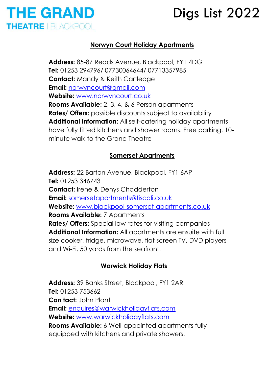### **THE GRAND THEATRE | BLACKPOOL**

## Digs List 2022

### **Norwyn Court Holiday Apartments**

**Address:** 85-87 Reads Avenue, Blackpool, FY1 4DG **Tel:** 01253 294796/ 07730064644/ 07713357985 **Contact:** Mandy & Keith Cartledge **Email:** [norwyncourt@gmail.com](mailto:norwyncourt@gmail.com) **Website:** [www.norwyncourt.co.uk](http://www.norwyncourt.co.uk/) **Rooms Available:** 2, 3, 4, & 6 Person apartments **Rates/ Offers:** possible discounts subject to availability **Additional Information:** All self-catering holiday apartments have fully fitted kitchens and shower rooms. Free parking. 10 minute walk to the Grand Theatre

### **Somerset Apartments**

**Address:** 22 Barton Avenue, Blackpool, FY1 6AP **Tel:** 01253 346743 **Contact:** Irene & Denys Chadderton **Email:** [somersetapartments@tiscali.co.uk](mailto:somersetapartments@tiscali.co.uk) **Website:** [www.blackpool-somerset-apartments.co.uk](http://www.blackpool-somerset-apartments.co.uk/) **Rooms Available:** 7 Apartments **Rates/ Offers:** Special low rates for visiting companies **Additional Information:** All apartments are ensuite with full size cooker, fridge, microwave, flat screen TV, DVD players and Wi-Fi. 50 yards from the seafront.

### **Warwick Holiday Flats**

**Address:** 39 Banks Street, Blackpool, FY1 2AR **Tel:** 01253 753662 **Con tact:** John Plant **Email:** [enquires@warwickholidayflats.com](mailto:enquires@warwickholidayflats.com) **Website:** [www.warwickholidayflats.com](http://www.warwickholidayflats.com/) **Rooms Available:** 6 Well-appointed apartments fully equipped with kitchens and private showers.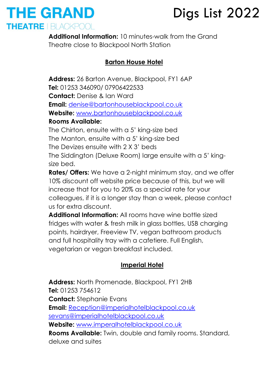### **THE GRAND** THEATRE I BLACKPOOL

## Digs List 2022

**Additional Information:** 10 minutes-walk from the Grand Theatre close to Blackpool North Station

### **Barton House Hotel**

**Address:** 26 Barton Avenue, Blackpool, FY1 6AP **Tel:** 01253 346090/ 07906422533 **Contact:** Denise & Ian Ward **Email:** [denise@bartonhouseblackpool.co.uk](mailto:denise@bartonhouseblackpool.co.uk) **Website:** [www.bartonhouseblackpool.co.uk](http://www.bartonhouseblackpool.co.uk/) **Rooms Available:** 

The Chirton, ensuite with a 5' king-size bed The Manton, ensuite with a 5' king-size bed The Devizes ensuite with 2 X 3' beds The Siddington (Deluxe Room) large ensuite with a 5' kingsize bed.

**Rates/ Offers:** We have a 2-night minimum stay, and we offer 10% discount off website price because of this, but we will increase that for you to 20% as a special rate for your colleagues, if it is a longer stay than a week, please contact us for extra discount.

**Additional Information:** All rooms have wine bottle sized fridges with water & fresh milk in glass bottles, USB charging points, hairdryer, Freeview TV, vegan bathroom products and full hospitality tray with a cafetiere. Full English, vegetarian or vegan breakfast included.

### **Imperial Hotel**

**Address:** North Promenade, Blackpool, FY1 2HB **Tel:** 01253 754612 **Contact:** Stephanie Evans **Email:** [Reception@imperialhotelblackpool.co.uk](mailto:Reception@imperialhotelblackpool.co.uk) [sevans@imperialhotelblackpool.co.uk](mailto:sevans@imperialhotelblackpool.co.uk) **Website:** [www.imperalhotelblackpool.co.uk](http://www.imperalhotelblackpool.co.uk/) **Rooms Available:** Twin, double and family rooms. Standard, deluxe and suites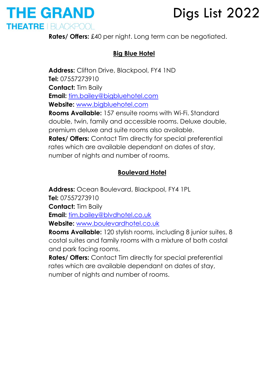

**Rates/ Offers:** £40 per night. Long term can be negotiated.

### **Big Blue Hotel**

**Address:** Clifton Drive, Blackpool, FY4 1ND **Tel:** 07557273910 **Contact:** Tim Baily **Email:** [tim.bailey@bigbluehotel.com](mailto:tim.bailey@bigbluehotel.com) **Website:** [www.bigbluehotel.com](http://www.bigbluehotel.com/) **Rooms Available:** 157 ensuite rooms with Wi-Fi. Standard double, twin, family and accessible rooms. Deluxe double, premium deluxe and suite rooms also available. **Rates/ Offers:** Contact Tim directly for special preferential rates which are available dependant on dates of stay, number of nights and number of rooms.

### **Boulevard Hotel**

**Address:** Ocean Boulevard, Blackpool, FY4 1PL **Tel:** 07557273910 **Contact:** Tim Baily **Email:** [tim.bailey@blvdhotel.co.uk](mailto:tim.bailey@blvdhotel.co.uk) **Website:** [www.boulevardhotel.co.uk](http://www.boulevardhotel.co.uk/) **Rooms Available:** 120 stylish rooms, including 8 junior suites, 8

costal suites and family rooms with a mixture of both costal and park facing rooms.

**Rates/ Offers:** Contact Tim directly for special preferential rates which are available dependant on dates of stay, number of nights and number of rooms.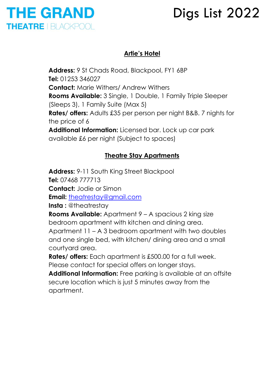### **THE GRAND THEATRE | BLACKPOOL**

## Digs List 2022

### **Artie's Hotel**

**Address:** 9 St Chads Road, Blackpool, FY1 6BP **Tel:** 01253 346027 **Contact:** Marie Withers/ Andrew Withers **Rooms Available:** 3 Single, 1 Double, 1 Family Triple Sleeper (Sleeps 3), 1 Family Suite (Max 5) **Rates/ offers:** Adults £35 per person per night B&B. 7 nights for the price of 6 **Additional Information:** Licensed bar. Lock up car park available £6 per night (Subject to spaces)

### **Theatre Stay Apartments**

**Address:** 9-11 South King Street Blackpool **Tel:** 07468 777713 **Contact:** Jodie or Simon **Email:** [theatrestay@gmail.com](mailto:theatrestay@gmail.com) **Insta :** @theatrestay **Rooms Available:** Apartment 9 – A spacious 2 king size bedroom apartment with kitchen and dining area. Apartment 11 – A 3 bedroom apartment with two doubles and one single bed, with kitchen/ dining area and a small courtyard area. **Rates/ offers:** Each apartment is £500.00 for a full week. Please contact for special offers on longer stays. **Additional Information:** Free parking is available at an offsite secure location which is just 5 minutes away from the apartment.